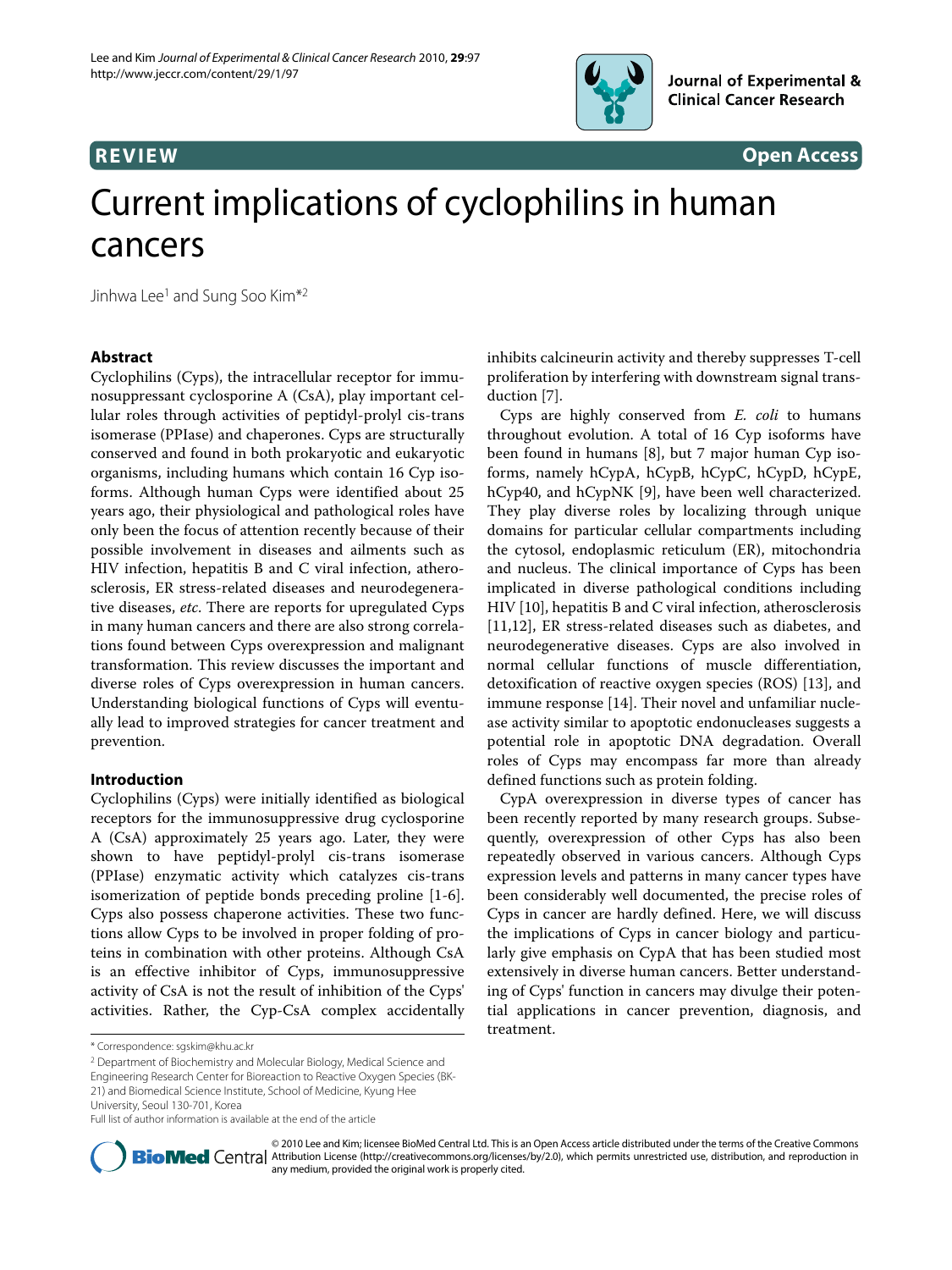

**REVIEW Open Access**

# Current implications of cyclophilins in human cancers

Jinhwa Lee<sup>1</sup> and Sung Soo Kim<sup>\*2</sup>

# **Abstract**

Cyclophilins (Cyps), the intracellular receptor for immunosuppressant cyclosporine A (CsA), play important cellular roles through activities of peptidyl-prolyl cis-trans isomerase (PPIase) and chaperones. Cyps are structurally conserved and found in both prokaryotic and eukaryotic organisms, including humans which contain 16 Cyp isoforms. Although human Cyps were identified about 25 years ago, their physiological and pathological roles have only been the focus of attention recently because of their possible involvement in diseases and ailments such as HIV infection, hepatitis B and C viral infection, atherosclerosis, ER stress-related diseases and neurodegenerative diseases, etc. There are reports for upregulated Cyps in many human cancers and there are also strong correlations found between Cyps overexpression and malignant transformation. This review discusses the important and diverse roles of Cyps overexpression in human cancers. Understanding biological functions of Cyps will eventually lead to improved strategies for cancer treatment and prevention.

# **Introduction**

Cyclophilins (Cyps) were initially identified as biological receptors for the immunosuppressive drug cyclosporine A (CsA) approximately 25 years ago. Later, they were shown to have peptidyl-prolyl cis-trans isomerase (PPIase) enzymatic activity which catalyzes cis-trans isomerization of peptide bonds preceding proline [[1-](#page-4-0)[6](#page-4-1)]. Cyps also possess chaperone activities. These two functions allow Cyps to be involved in proper folding of proteins in combination with other proteins. Although CsA is an effective inhibitor of Cyps, immunosuppressive activity of CsA is not the result of inhibition of the Cyps' activities. Rather, the Cyp-CsA complex accidentally

2 Department of Biochemistry and Molecular Biology, Medical Science and

21) and Biomedical Science Institute, School of Medicine, Kyung Hee

University, Seoul 130-701, Korea

[inhibits calcineurin activity and thereby suppresses T-cell](http://www.ncbi.nlm.nih.gov/entrez/query.fcgi?cmd=Retrieve&db=PubMed&dopt=Abstract&list_uids=20637127) proliferation by interfering with downstream signal transduction [[7\]](#page-4-2).

Cyps are highly conserved from E. coli to humans throughout evolution. A total of 16 Cyp isoforms have been found in humans [\[8](#page-4-3)], but 7 major human Cyp isoforms, namely hCypA, hCypB, hCypC, hCypD, hCypE, hCyp40, and hCypNK [[9\]](#page-4-4), have been well characterized. They play diverse roles by localizing through unique domains for particular cellular compartments including the cytosol, endoplasmic reticulum (ER), mitochondria and nucleus. The clinical importance of Cyps has been implicated in diverse pathological conditions including HIV [[10\]](#page-4-5), hepatitis B and C viral infection, atherosclerosis [[11,](#page-4-6)[12\]](#page-4-7), ER stress-related diseases such as diabetes, and neurodegenerative diseases. Cyps are also involved in normal cellular functions of muscle differentiation, detoxification of reactive oxygen species (ROS) [\[13](#page-4-8)], and immune response [\[14](#page-4-9)]. Their novel and unfamiliar nuclease activity similar to apoptotic endonucleases suggests a potential role in apoptotic DNA degradation. Overall roles of Cyps may encompass far more than already defined functions such as protein folding.

CypA overexpression in diverse types of cancer has been recently reported by many research groups. Subsequently, overexpression of other Cyps has also been repeatedly observed in various cancers. Although Cyps expression levels and patterns in many cancer types have been considerably well documented, the precise roles of Cyps in cancer are hardly defined. Here, we will discuss the implications of Cyps in cancer biology and particularly give emphasis on CypA that has been studied most extensively in diverse human cancers. Better understanding of Cyps' function in cancers may divulge their potential applications in cancer prevention, diagnosis, and treatment.



<sup>© 2010</sup> Lee and Kim; licensee BioMed Central Ltd. This is an Open Access article distributed under the terms of the Creative Commons **Bio Med Centra** Attribution License (http://creativecommons.org/licenses/by/2.0), which permits unrestricted use, distribution, and reproduction in any medium, provided the original work is properly cited.

<sup>\*</sup> Correspondence: sgskim@khu.ac.kr

Engineering Research Center for Bioreaction to Reactive Oxygen Species (BK-

Full list of author information is available at the end of the article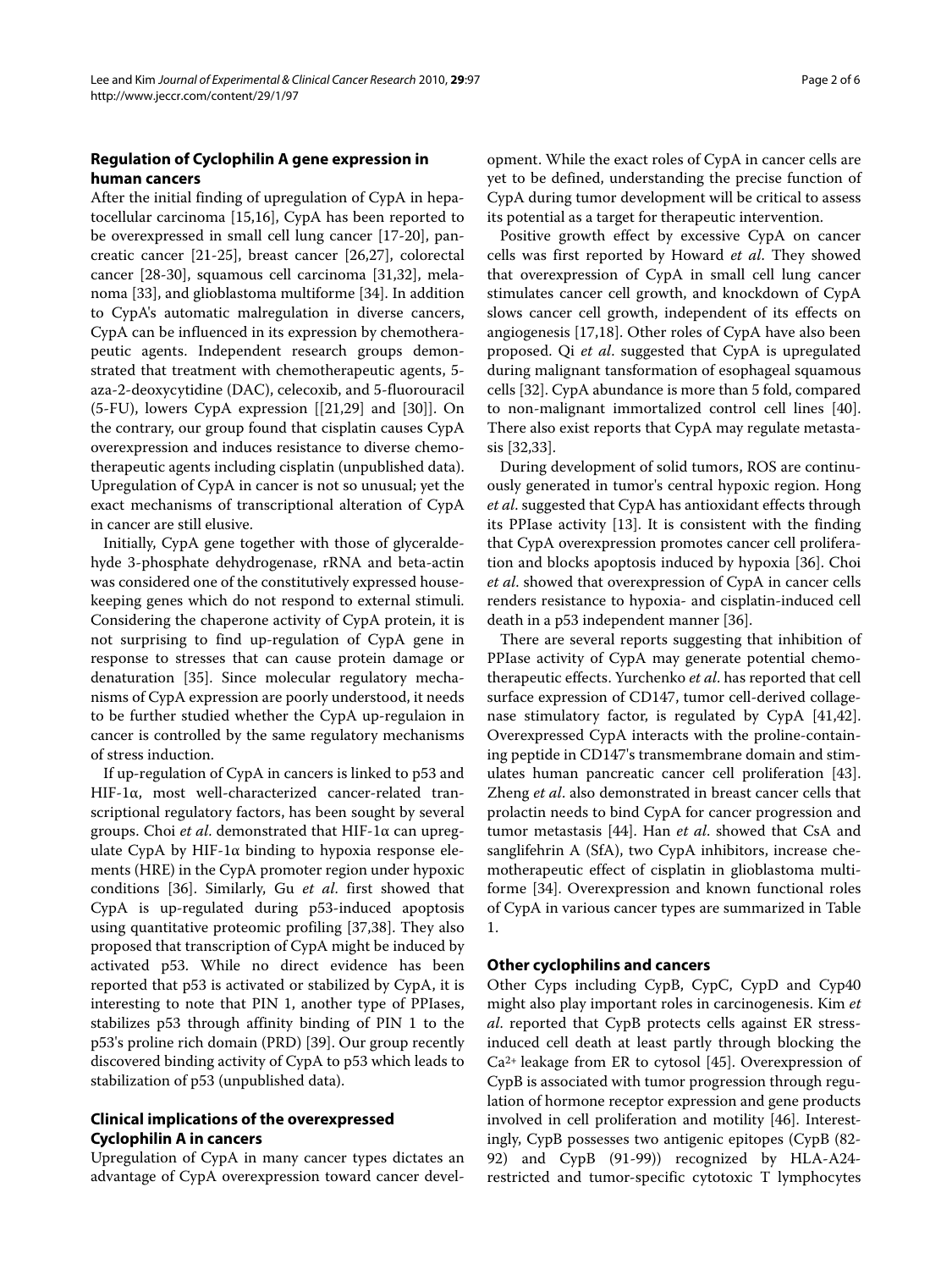# **Regulation of Cyclophilin A gene expression in human cancers**

After the initial finding of upregulation of CypA in hepatocellular carcinoma [\[15](#page-4-10)[,16](#page-4-11)], CypA has been reported to be overexpressed in small cell lung cancer [[17](#page-4-12)[-20\]](#page-4-13), pancreatic cancer [[21](#page-4-14)-[25\]](#page-4-15), breast cancer [[26,](#page-4-16)[27\]](#page-4-17), colorectal cancer [[28](#page-4-18)[-30\]](#page-4-19), squamous cell carcinoma [\[31](#page-4-20)[,32](#page-4-21)], melanoma [[33](#page-4-22)], and glioblastoma multiforme [[34](#page-4-23)]. In addition to CypA's automatic malregulation in diverse cancers, CypA can be influenced in its expression by chemotherapeutic agents. Independent research groups demonstrated that treatment with chemotherapeutic agents, 5 aza-2-deoxycytidine (DAC), celecoxib, and 5-fluorouracil  $(5-FU)$ , lowers CypA expression  $[21,29]$  $[21,29]$  and  $[30]$  $[30]$ . On the contrary, our group found that cisplatin causes CypA overexpression and induces resistance to diverse chemotherapeutic agents including cisplatin (unpublished data). Upregulation of CypA in cancer is not so unusual; yet the exact mechanisms of transcriptional alteration of CypA in cancer are still elusive.

Initially, CypA gene together with those of glyceraldehyde 3-phosphate dehydrogenase, rRNA and beta-actin was considered one of the constitutively expressed housekeeping genes which do not respond to external stimuli. Considering the chaperone activity of CypA protein, it is not surprising to find up-regulation of CypA gene in response to stresses that can cause protein damage or denaturation [[35\]](#page-5-0). Since molecular regulatory mechanisms of CypA expression are poorly understood, it needs to be further studied whether the CypA up-regulaion in cancer is controlled by the same regulatory mechanisms of stress induction.

If up-regulation of CypA in cancers is linked to p53 and HIF-1α, most well-characterized cancer-related transcriptional regulatory factors, has been sought by several groups. Choi et al. demonstrated that HIF-1 $\alpha$  can upregulate CypA by HIF-1 $\alpha$  binding to hypoxia response elements (HRE) in the CypA promoter region under hypoxic conditions [\[36\]](#page-5-1). Similarly, Gu et al. first showed that CypA is up-regulated during p53-induced apoptosis using quantitative proteomic profiling [\[37](#page-5-2)[,38](#page-5-3)]. They also proposed that transcription of CypA might be induced by activated p53. While no direct evidence has been reported that p53 is activated or stabilized by CypA, it is interesting to note that PIN 1, another type of PPIases, stabilizes p53 through affinity binding of PIN 1 to the p53's proline rich domain (PRD) [\[39](#page-5-4)]. Our group recently discovered binding activity of CypA to p53 which leads to stabilization of p53 (unpublished data).

# **Clinical implications of the overexpressed Cyclophilin A in cancers**

Upregulation of CypA in many cancer types dictates an advantage of CypA overexpression toward cancer devel-

opment. While the exact roles of CypA in cancer cells are yet to be defined, understanding the precise function of CypA during tumor development will be critical to assess its potential as a target for therapeutic intervention.

Positive growth effect by excessive CypA on cancer cells was first reported by Howard et al. They showed that overexpression of CypA in small cell lung cancer stimulates cancer cell growth, and knockdown of CypA slows cancer cell growth, independent of its effects on angiogenesis [\[17](#page-4-12),[18](#page-4-25)]. Other roles of CypA have also been proposed. Qi et al. suggested that CypA is upregulated during malignant tansformation of esophageal squamous cells [[32\]](#page-4-21). CypA abundance is more than 5 fold, compared to non-malignant immortalized control cell lines [\[40](#page-5-5)]. There also exist reports that CypA may regulate metastasis [\[32](#page-4-21),[33](#page-4-22)].

During development of solid tumors, ROS are continuously generated in tumor's central hypoxic region. Hong et al. suggested that CypA has antioxidant effects through its PPIase activity [\[13\]](#page-4-8). It is consistent with the finding that CypA overexpression promotes cancer cell proliferation and blocks apoptosis induced by hypoxia [\[36](#page-5-1)]. Choi et al. showed that overexpression of CypA in cancer cells renders resistance to hypoxia- and cisplatin-induced cell death in a p53 independent manner [\[36](#page-5-1)].

There are several reports suggesting that inhibition of PPIase activity of CypA may generate potential chemotherapeutic effects. Yurchenko et al. has reported that cell surface expression of CD147, tumor cell-derived collagenase stimulatory factor, is regulated by CypA [\[41](#page-5-6)[,42](#page-5-7)]. Overexpressed CypA interacts with the proline-containing peptide in CD147's transmembrane domain and stimulates human pancreatic cancer cell proliferation [\[43](#page-5-8)]. Zheng et al. also demonstrated in breast cancer cells that prolactin needs to bind CypA for cancer progression and tumor metastasis [\[44](#page-5-9)]. Han et al. showed that CsA and sanglifehrin A (SfA), two CypA inhibitors, increase chemotherapeutic effect of cisplatin in glioblastoma multiforme [\[34\]](#page-4-23). Overexpression and known functional roles of CypA in various cancer types are summarized in Table 1.

# **Other cyclophilins and cancers**

Other Cyps including CypB, CypC, CypD and Cyp40 might also play important roles in carcinogenesis. Kim et al. reported that CypB protects cells against ER stressinduced cell death at least partly through blocking the Ca2+ leakage from ER to cytosol [[45\]](#page-5-10). Overexpression of CypB is associated with tumor progression through regulation of hormone receptor expression and gene products involved in cell proliferation and motility [[46\]](#page-5-11). Interestingly, CypB possesses two antigenic epitopes (CypB (82- 92) and CypB (91-99)) recognized by HLA-A24 restricted and tumor-specific cytotoxic T lymphocytes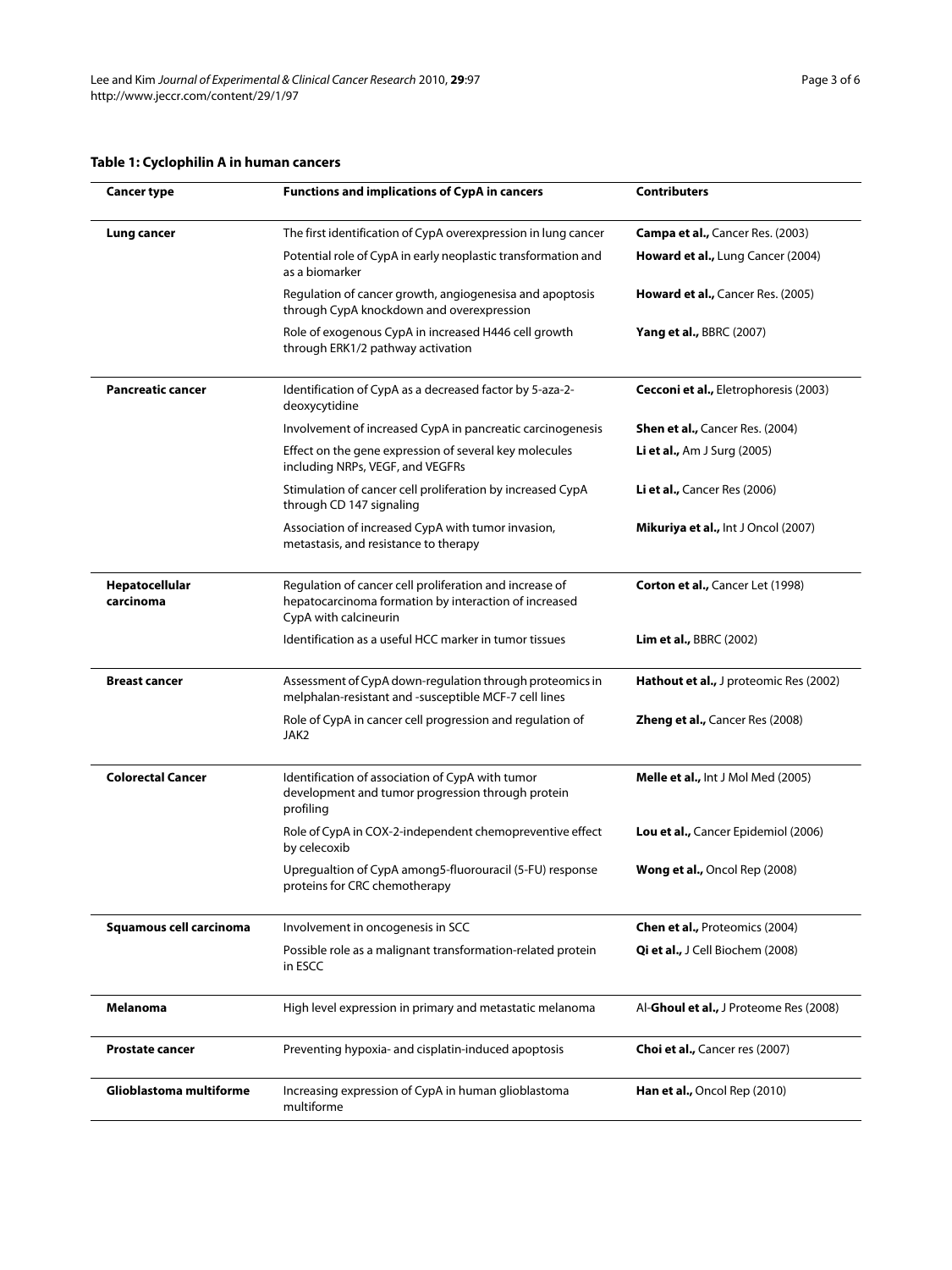# **Table 1: Cyclophilin A in human cancers**

| <b>Cancer type</b>          | <b>Functions and implications of CypA in cancers</b>                                                                                      | <b>Contributers</b>                        |
|-----------------------------|-------------------------------------------------------------------------------------------------------------------------------------------|--------------------------------------------|
| Lung cancer                 | The first identification of CypA overexpression in lung cancer                                                                            | Campa et al., Cancer Res. (2003)           |
|                             | Potential role of CypA in early neoplastic transformation and<br>as a biomarker                                                           | Howard et al., Lung Cancer (2004)          |
|                             | Regulation of cancer growth, angiogenesisa and apoptosis<br>through CypA knockdown and overexpression                                     | Howard et al., Cancer Res. (2005)          |
|                             | Role of exogenous CypA in increased H446 cell growth<br>through ERK1/2 pathway activation                                                 | <b>Yang et al., BBRC (2007)</b>            |
| <b>Pancreatic cancer</b>    | Identification of CypA as a decreased factor by 5-aza-2-<br>deoxycytidine                                                                 | Cecconi et al., Eletrophoresis (2003)      |
|                             | Involvement of increased CypA in pancreatic carcinogenesis                                                                                | <b>Shen et al., Cancer Res. (2004)</b>     |
|                             | Effect on the gene expression of several key molecules<br>including NRPs, VEGF, and VEGFRs                                                | <b>Li et al., Am J Surg (2005)</b>         |
|                             | Stimulation of cancer cell proliferation by increased CypA<br>through CD 147 signaling                                                    | Li et al., Cancer Res (2006)               |
|                             | Association of increased CypA with tumor invasion,<br>metastasis, and resistance to therapy                                               | <b>Mikuriya et al., Int J Oncol (2007)</b> |
| Hepatocellular<br>carcinoma | Regulation of cancer cell proliferation and increase of<br>hepatocarcinoma formation by interaction of increased<br>CypA with calcineurin | Corton et al., Cancer Let (1998)           |
|                             | Identification as a useful HCC marker in tumor tissues                                                                                    | <b>Lim et al., BBRC (2002)</b>             |
| <b>Breast cancer</b>        | Assessment of CypA down-regulation through proteomics in<br>melphalan-resistant and -susceptible MCF-7 cell lines                         | Hathout et al., J proteomic Res (2002)     |
|                             | Role of CypA in cancer cell progression and regulation of<br>JAK2                                                                         | <b>Zheng et al., Cancer Res (2008)</b>     |
| <b>Colorectal Cancer</b>    | Identification of association of CypA with tumor<br>development and tumor progression through protein<br>profiling                        | Melle et al., Int J Mol Med (2005)         |
|                             | Role of CypA in COX-2-independent chemopreventive effect<br>by celecoxib                                                                  | <b>Lou et al.,</b> Cancer Epidemiol (2006) |
|                             | Upregualtion of CypA among5-fluorouracil (5-FU) response<br>proteins for CRC chemotherapy                                                 | <b>Wong et al., Oncol Rep (2008)</b>       |
| Squamous cell carcinoma     | Involvement in oncogenesis in SCC                                                                                                         | <b>Chen et al., Proteomics (2004)</b>      |
|                             | Possible role as a malignant transformation-related protein<br>in ESCC                                                                    | Qi et al., J Cell Biochem (2008)           |
| <b>Melanoma</b>             | High level expression in primary and metastatic melanoma                                                                                  | Al-Ghoul et al., J Proteome Res (2008)     |
| <b>Prostate cancer</b>      | Preventing hypoxia- and cisplatin-induced apoptosis                                                                                       | <b>Choi et al., Cancer res (2007)</b>      |
| Glioblastoma multiforme     | Increasing expression of CypA in human glioblastoma<br>multiforme                                                                         | Han et al., Oncol Rep (2010)               |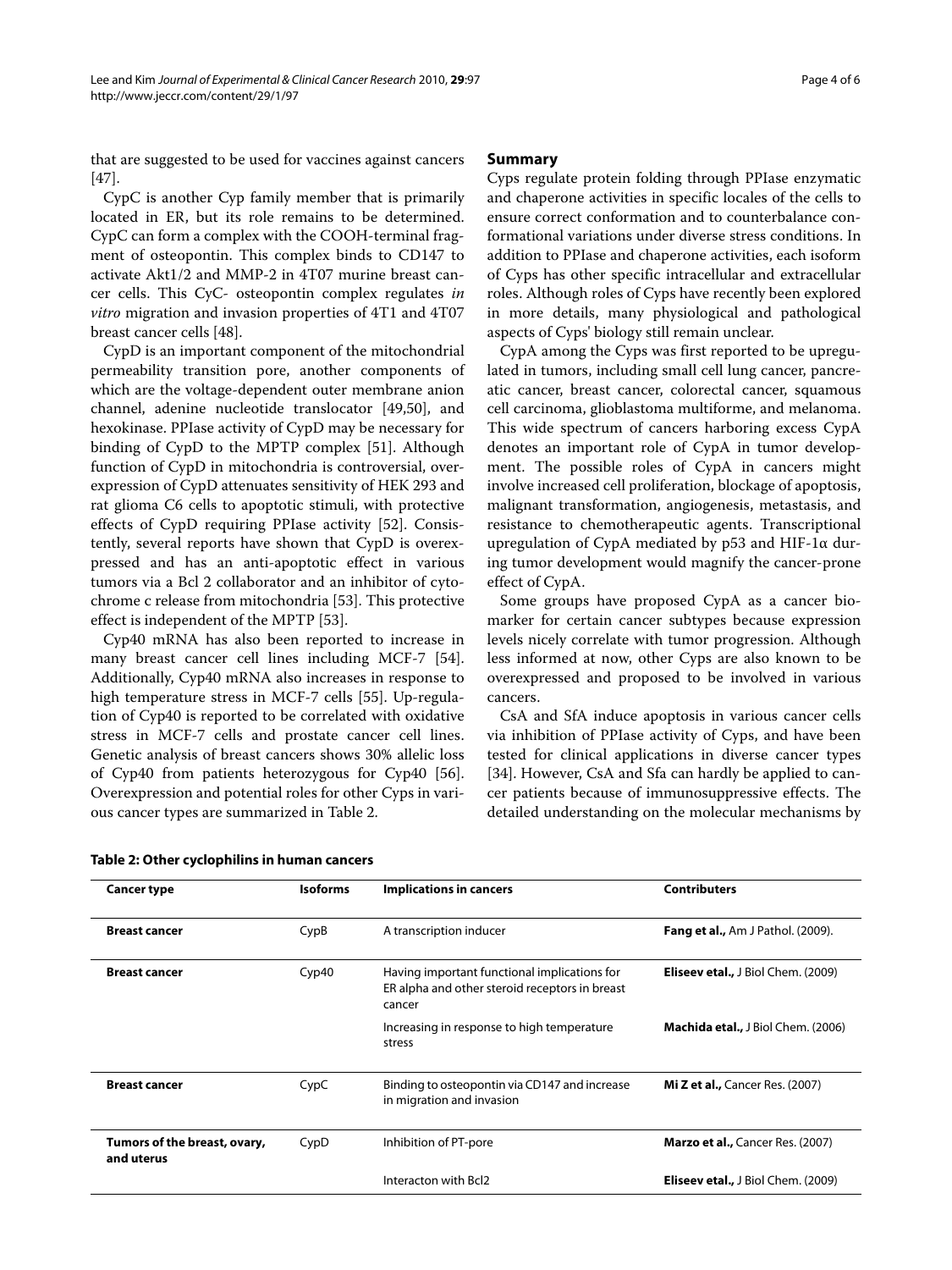that are suggested to be used for vaccines against cancers [[47\]](#page-5-12).

CypC is another Cyp family member that is primarily located in ER, but its role remains to be determined. CypC can form a complex with the COOH-terminal fragment of osteopontin. This complex binds to CD147 to activate Akt1/2 and MMP-2 in 4T07 murine breast cancer cells. This CyC- osteopontin complex regulates in vitro migration and invasion properties of 4T1 and 4T07 breast cancer cells [\[48](#page-5-13)].

CypD is an important component of the mitochondrial permeability transition pore, another components of which are the voltage-dependent outer membrane anion channel, adenine nucleotide translocator [\[49](#page-5-14)[,50](#page-5-15)], and hexokinase. PPIase activity of CypD may be necessary for binding of CypD to the MPTP complex [[51\]](#page-5-16). Although function of CypD in mitochondria is controversial, overexpression of CypD attenuates sensitivity of HEK 293 and rat glioma C6 cells to apoptotic stimuli, with protective effects of CypD requiring PPIase activity [[52](#page-5-17)]. Consistently, several reports have shown that CypD is overexpressed and has an anti-apoptotic effect in various tumors via a Bcl 2 collaborator and an inhibitor of cytochrome c release from mitochondria [\[53](#page-5-18)]. This protective effect is independent of the MPTP [\[53](#page-5-18)].

Cyp40 mRNA has also been reported to increase in many breast cancer cell lines including MCF-7 [\[54](#page-5-19)]. Additionally, Cyp40 mRNA also increases in response to high temperature stress in MCF-7 cells [\[55\]](#page-5-20). Up-regulation of Cyp40 is reported to be correlated with oxidative stress in MCF-7 cells and prostate cancer cell lines. Genetic analysis of breast cancers shows 30% allelic loss of Cyp40 from patients heterozygous for Cyp40 [\[56](#page-5-21)]. Overexpression and potential roles for other Cyps in various cancer types are summarized in Table [2](#page-3-0).

# **Summary**

Cyps regulate protein folding through PPIase enzymatic and chaperone activities in specific locales of the cells to ensure correct conformation and to counterbalance conformational variations under diverse stress conditions. In addition to PPIase and chaperone activities, each isoform of Cyps has other specific intracellular and extracellular roles. Although roles of Cyps have recently been explored in more details, many physiological and pathological aspects of Cyps' biology still remain unclear.

CypA among the Cyps was first reported to be upregulated in tumors, including small cell lung cancer, pancreatic cancer, breast cancer, colorectal cancer, squamous cell carcinoma, glioblastoma multiforme, and melanoma. This wide spectrum of cancers harboring excess CypA denotes an important role of CypA in tumor development. The possible roles of CypA in cancers might involve increased cell proliferation, blockage of apoptosis, malignant transformation, angiogenesis, metastasis, and resistance to chemotherapeutic agents. Transcriptional upregulation of CypA mediated by p53 and HIF-1α during tumor development would magnify the cancer-prone effect of CypA.

Some groups have proposed CypA as a cancer biomarker for certain cancer subtypes because expression levels nicely correlate with tumor progression. Although less informed at now, other Cyps are also known to be overexpressed and proposed to be involved in various cancers.

CsA and SfA induce apoptosis in various cancer cells via inhibition of PPIase activity of Cyps, and have been tested for clinical applications in diverse cancer types [[34\]](#page-4-23). However, CsA and Sfa can hardly be applied to cancer patients because of immunosuppressive effects. The detailed understanding on the molecular mechanisms by

| <b>Cancer type</b>                         | <b>Isoforms</b> | <b>Implications in cancers</b>                                                                           | <b>Contributers</b>                       |
|--------------------------------------------|-----------------|----------------------------------------------------------------------------------------------------------|-------------------------------------------|
| <b>Breast cancer</b>                       | CypB            | A transcription inducer                                                                                  | <b>Fang et al., Am J Pathol. (2009).</b>  |
| <b>Breast cancer</b>                       | Cyp40           | Having important functional implications for<br>ER alpha and other steroid receptors in breast<br>cancer | <b>Eliseev etal., J Biol Chem. (2009)</b> |
|                                            |                 | Increasing in response to high temperature<br>stress                                                     | <b>Machida etal., J Biol Chem. (2006)</b> |
| <b>Breast cancer</b>                       | CypC            | Binding to osteopontin via CD147 and increase<br>in migration and invasion                               | <b>Mi Z et al., Cancer Res. (2007)</b>    |
| Tumors of the breast, ovary,<br>and uterus | CypD            | Inhibition of PT-pore                                                                                    | <b>Marzo et al., Cancer Res. (2007)</b>   |
|                                            |                 | Interacton with Bcl2                                                                                     | <b>Eliseev etal., J Biol Chem. (2009)</b> |

### <span id="page-3-0"></span>**Table 2: Other cyclophilins in human cancers**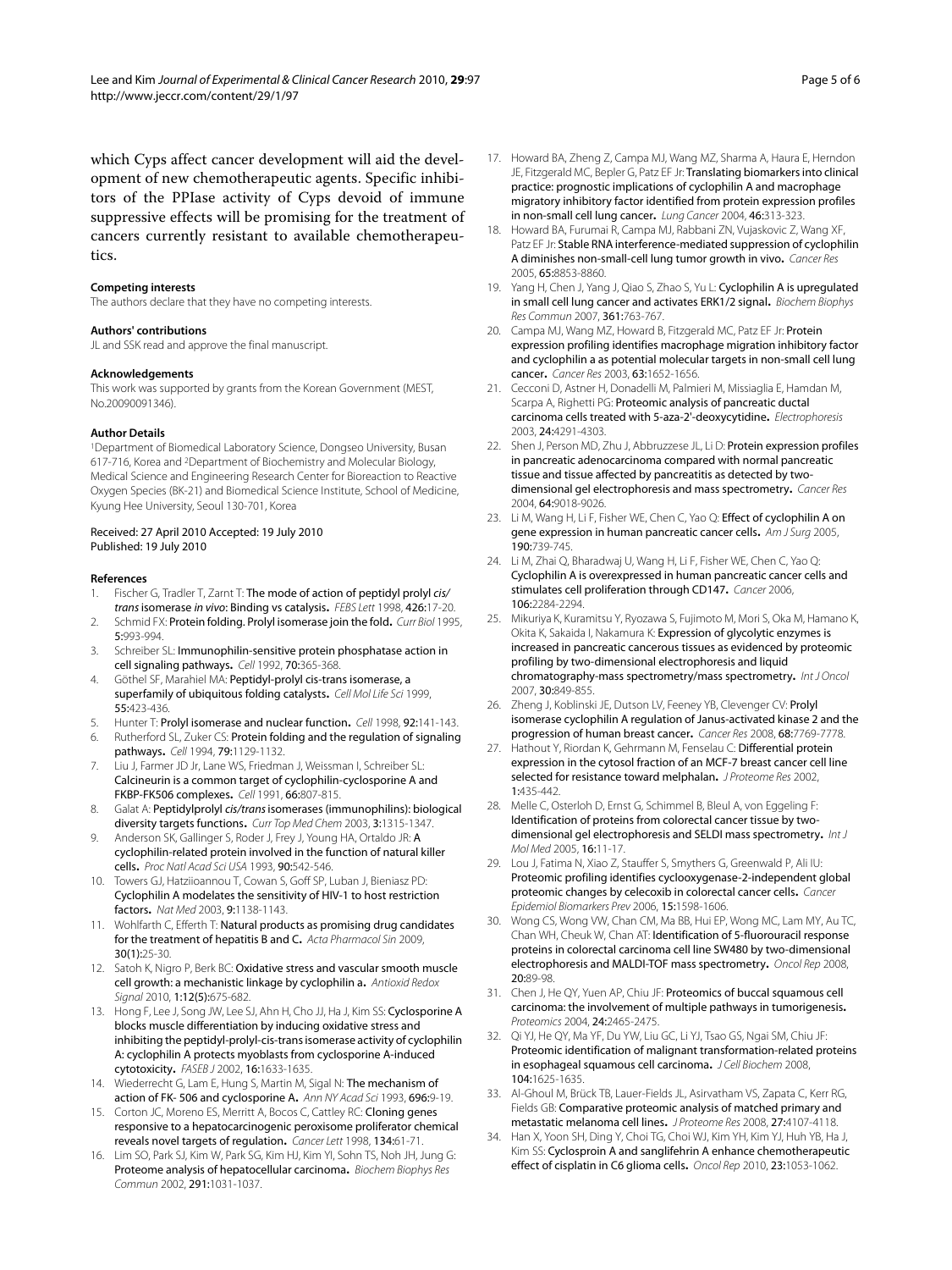#### **Competing interests**

tics.

The authors declare that they have no competing interests.

#### **Authors' contributions**

JL and SSK read and approve the final manuscript.

#### **Acknowledgements**

This work was supported by grants from the Korean Government (MEST, No.20090091346).

#### **Author Details**

1Department of Biomedical Laboratory Science, Dongseo University, Busan 617-716, Korea and 2Department of Biochemistry and Molecular Biology, Medical Science and Engineering Research Center for Bioreaction to Reactive Oxygen Species (BK-21) and Biomedical Science Institute, School of Medicine, Kyung Hee University, Seoul 130-701, Korea

#### Received: 27 April 2010 Accepted: 19 July 2010 Published: 19 July 2010

#### **References**

- <span id="page-4-0"></span>1. Fischer G, Tradler T, Zarnt T: The mode of action of peptidyl prolyl cis/ trans isomerase in vivo: Binding vs catalysis**.** FEBS Lett 1998, 426:17-20.
- 2. Schmid FX: Protein folding. Prolyl isomerase join the fold**.** Curr Biol 1995, 5:993-994.
- 3. Schreiber SL: Immunophilin-sensitive protein phosphatase action in cell signaling pathways**.** Cell 1992, 70:365-368.
- 4. Göthel SF, Marahiel MA: Peptidyl-prolyl cis-trans isomerase, a superfamily of ubiquitous folding catalysts**.** Cell Mol Life Sci 1999, 55:423-436.
- 5. Hunter T: Prolyl isomerase and nuclear function**.** Cell 1998, 92:141-143.
- <span id="page-4-1"></span>6. Rutherford SL, Zuker CS: Protein folding and the regulation of signaling pathways**.** Cell 1994, 79:1129-1132.
- <span id="page-4-2"></span>7. Liu J, Farmer JD Jr, Lane WS, Friedman J, Weissman I, Schreiber SL: Calcineurin is a common target of cyclophilin-cyclosporine A and FKBP-FK506 complexes**.** Cell 1991, 66:807-815.
- <span id="page-4-3"></span>8. Galat A: Peptidylprolyl cis/trans isomerases (immunophilins): biological diversity targets functions**.** Curr Top Med Chem 2003, 3:1315-1347.
- <span id="page-4-4"></span>9. Anderson SK, Gallinger S, Roder J, Frey J, Young HA, Ortaldo JR: A cyclophilin-related protein involved in the function of natural killer cells**.** Proc Natl Acad Sci USA 1993, 90:542-546.
- <span id="page-4-5"></span>10. Towers GJ, Hatziioannou T, Cowan S, Goff SP, Luban J, Bieniasz PD: Cyclophilin A modelates the sensitivity of HIV-1 to host restriction factors**.** Nat Med 2003, 9:1138-1143.
- <span id="page-4-6"></span>11. Wohlfarth C, Efferth T: Natural products as promising drug candidates for the treatment of hepatitis B and C**.** Acta Pharmacol Sin 2009, 30(1):25-30.
- <span id="page-4-7"></span>12. Satoh K, Nigro P, Berk BC: Oxidative stress and vascular smooth muscle cell growth: a mechanistic linkage by cyclophilin a**.** Antioxid Redox Signal 2010, 1:12(5):675-682.
- <span id="page-4-8"></span>13. Hong F, Lee J, Song JW, Lee SJ, Ahn H, Cho JJ, Ha J, Kim SS: Cyclosporine A blocks muscle differentiation by inducing oxidative stress and inhibiting the peptidyl-prolyl-cis-trans isomerase activity of cyclophilin A: cyclophilin A protects myoblasts from cyclosporine A-induced cytotoxicity**.** FASEB J 2002, 16:1633-1635.
- <span id="page-4-9"></span>14. Wiederrecht G, Lam E, Hung S, Martin M, Sigal N: The mechanism of action of FK- 506 and cyclosporine A**.** Ann NY Acad Sci 1993, 696:9-19.
- <span id="page-4-10"></span>15. Corton JC, Moreno ES, Merritt A, Bocos C, Cattley RC: Cloning genes responsive to a hepatocarcinogenic peroxisome proliferator chemical reveals novel targets of regulation**.** Cancer Lett 1998, 134:61-71.
- <span id="page-4-11"></span>16. Lim SO, Park SJ, Kim W, Park SG, Kim HJ, Kim YI, Sohn TS, Noh JH, Jung G: Proteome analysis of hepatocellular carcinoma**.** Biochem Biophys Res Commun 2002, 291:1031-1037.
- <span id="page-4-12"></span>17. Howard BA, Zheng Z, Campa MJ, Wang MZ, Sharma A, Haura E, Herndon JE, Fitzgerald MC, Bepler G, Patz EF Jr: Translating biomarkers into clinical practice: prognostic implications of cyclophilin A and macrophage migratory inhibitory factor identified from protein expression profiles in non-small cell lung cancer**.** Lung Cancer 2004, 46:313-323.
- <span id="page-4-25"></span>18. Howard BA, Furumai R, Campa MJ, Rabbani ZN, Vujaskovic Z, Wang XF, Patz EF Jr: Stable RNA interference-mediated suppression of cyclophilin A diminishes non-small-cell lung tumor growth in vivo**.** Cancer Res 2005, 65:8853-8860.
- 19. Yang H, Chen J, Yang J, Qiao S, Zhao S, Yu L: Cyclophilin A is upregulated in small cell lung cancer and activates ERK1/2 signal**.** Biochem Biophys Res Commun 2007, 361:763-767.
- <span id="page-4-13"></span>20. Campa MJ, Wang MZ, Howard B, Fitzgerald MC, Patz EF Jr: Protein expression profiling identifies macrophage migration inhibitory factor and cyclophilin a as potential molecular targets in non-small cell lung cancer**[.](http://www.ncbi.nlm.nih.gov/entrez/query.fcgi?cmd=Retrieve&db=PubMed&dopt=Abstract&list_uids=12670919)** Cancer Res 2003, 63:1652-1656.
- <span id="page-4-14"></span>21. Cecconi D, Astner H, Donadelli M, Palmieri M, Missiaglia E, Hamdan M, Scarpa A, Righetti PG: Proteomic analysis of pancreatic ductal carcinoma cells treated with 5-aza-2'-deoxycytidine**[.](http://www.ncbi.nlm.nih.gov/entrez/query.fcgi?cmd=Retrieve&db=PubMed&dopt=Abstract&list_uids=14679576)** Electrophoresis 2003, 24:4291-4303.
- 22. Shen J, Person MD, Zhu J, Abbruzzese JL, Li D: Protein expression profiles in pancreatic adenocarcinoma compared with normal pancreatic tissue and tissue affected by pancreatitis as detected by twodimensional gel electrophoresis and mass spectrometry**.** Cancer Res 2004, 64:9018-9026.
- 23. Li M, Wang H, Li F, Fisher WE, Chen C, Yao Q: Effect of cyclophilin A on gene expression in human pancreatic cancer cells**.** Am J Surg 2005, 190:739-745.
- 24. Li M, Zhai Q, Bharadwaj U, Wang H, Li F, Fisher WE, Chen C, Yao Q: Cyclophilin A is overexpressed in human pancreatic cancer cells and stimulates cell proliferation through CD147**.** Cancer 2006, 106:2284-2294.
- <span id="page-4-15"></span>25. Mikuriya K, Kuramitsu Y, Ryozawa S, Fujimoto M, Mori S, Oka M, Hamano K, Okita K, Sakaida I, Nakamura K: Expression of glycolytic enzymes is increased in pancreatic cancerous tissues as evidenced by proteomic profiling by two-dimensional electrophoresis and liquid chromatography-mass spectrometry/mass spectrometry**.** Int J Oncol 2007, 30:849-855.
- <span id="page-4-16"></span>26. Zheng J, Koblinski JE, Dutson LV, Feeney YB, Clevenger CV: Prolyl isomerase cyclophilin A regulation of Janus-activated kinase 2 and the progression of human breast cancer**.** Cancer Res 2008, 68:7769-7778.
- <span id="page-4-17"></span>27. Hathout Y, Riordan K, Gehrmann M, Fenselau C: Differential protein expression in the cytosol fraction of an MCF-7 breast cancer cell line selected for resistance toward melphala[n](http://www.ncbi.nlm.nih.gov/entrez/query.fcgi?cmd=Retrieve&db=PubMed&dopt=Abstract&list_uids=12645915)**.** J Proteome Res 2002, 1:435-442.
- <span id="page-4-18"></span>28. Melle C, Osterloh D, Ernst G, Schimmel B, Bleul A, von Eggeling F: Identification of proteins from colorectal cancer tissue by twodimensional gel electrophoresis and SELDI mass spectrometry**.** Int J Mol Med 2005, 16:11-17.
- <span id="page-4-24"></span>29. Lou J, Fatima N, Xiao Z, Stauffer S, Smythers G, Greenwald P, Ali IU: Proteomic profiling identifies cyclooxygenase-2-independent global proteomic changes by celecoxib in colorectal cancer cells**[.](http://www.ncbi.nlm.nih.gov/entrez/query.fcgi?cmd=Retrieve&db=PubMed&dopt=Abstract&list_uids=16985019)** Cancer Epidemiol Biomarkers Prev 2006, 15:1598-1606.
- <span id="page-4-19"></span>30. Wong CS, Wong VW, Chan CM, Ma BB, Hui EP, Wong MC, Lam MY, Au TC, Chan WH, Cheuk W, Chan AT: Identification of 5-fluorouracil response proteins in colorectal carcinoma cell line SW480 by two-dimensional electrophoresis and MALDI-TOF mass spectrometry**.** Oncol Rep 2008, 20:89-98.
- <span id="page-4-20"></span>31. Chen J, He QY, Yuen AP, Chiu JF: Proteomics of buccal squamous cell carcinoma: the involvement of multiple pathways in tumorigenesis**.** Proteomics 2004, 24:2465-2475.
- <span id="page-4-21"></span>32. Qi YJ, He QY, Ma YF, Du YW, Liu GC, Li YJ, Tsao GS, Ngai SM, Chiu JF: Proteomic identification of malignant transformation-related proteins in esophageal squamous cell carcinoma**.** J Cell Biochem 2008, 104:1625-1635.
- <span id="page-4-22"></span>33. Al-Ghoul M, Brück TB, Lauer-Fields JL, Asirvatham VS, Zapata C, Kerr RG, Fields GB: Comparative proteomic analysis of matched primary and metastatic melanoma cell lines**.** J Proteome Res 2008, 27:4107-4118.
- <span id="page-4-23"></span>34. Han X, Yoon SH, Ding Y, Choi TG, Choi WJ, Kim YH, Kim YJ, Huh YB, Ha J, Kim SS: Cyclosproin A and sanglifehrin A enhance chemotherapeutic effect of cisplatin in C6 glioma cells**.** Oncol Rep 2010, 23:1053-1062.